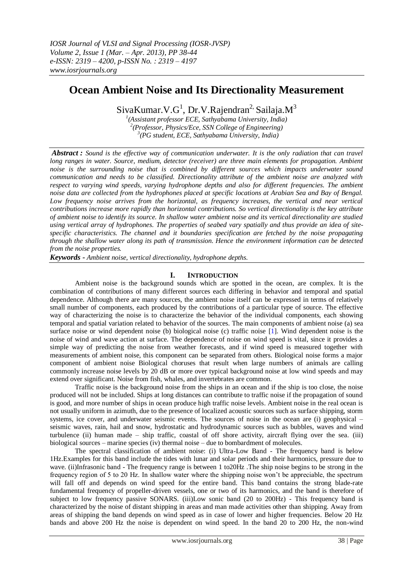# **Ocean Ambient Noise and Its Directionality Measurement**

SivaKumar. V.G<sup>1</sup>, Dr. V. Rajendran<sup>2,</sup> Sailaja. M<sup>3</sup>

*1 (Assistant professor ECE, Sathyabama University, India) 2 (Professor, Physics/Ece, SSN College of Engineering) 3 (PG student, ECE, Sathyabama University, India)*

*Abstract : Sound is the effective way of communication underwater. It is the only radiation that can travel long ranges in water. Source, medium, detector (receiver) are three main elements for propagation. Ambient noise is the surrounding noise that is combined by different sources which impacts underwater sound communication and needs to be classified. Directionality attribute of the ambient noise are analyzed with respect to varying wind speeds, varying hydrophone depths and also for different frequencies. The ambient noise data are collected from the hydrophones placed at specific locations at Arabian Sea and Bay of Bengal.*  Low frequency noise arrives from the horizontal, as frequency increases, the vertical and near vertical *contributions increase more rapidly than horizontal contributions. So vertical directionality is the key attribute of ambient noise to identify its source. In shallow water ambient noise and its vertical directionality are studied using vertical array of hydrophones. The properties of seabed vary spatially and thus provide an idea of sitespecific characteristics. The channel and it boundaries specification are fetched by the noise propagating through the shallow water along its path of transmission. Hence the environment information can be detected from the noise properties.*

*Keywords - Ambient noise, vertical directionality, hydrophone depths.*

# **I. INTRODUCTION**

Ambient noise is the background sounds which are spotted in the ocean, are complex. It is the combination of contributions of many different sources each differing in behavior and temporal and spatial dependence. Although there are many sources, the ambient noise itself can be expressed in terms of relatively small number of components, each produced by the contributions of a particular type of source. The effective way of characterizing the noise is to characterize the behavior of the individual components, each showing temporal and spatial variation related to behavior of the sources. The main components of ambient noise (a) sea surface noise or wind dependent noise (b) biological noise (c) traffic noise [1]. Wind dependent noise is the noise of wind and wave action at surface. The dependence of noise on wind speed is vital, since it provides a simple way of predicting the noise from weather forecasts, and if wind speed is measured together with measurements of ambient noise, this component can be separated from others. Biological noise forms a major component of ambient noise Biological choruses that result when large numbers of animals are calling commonly increase noise levels by 20 dB or more over typical background noise at low wind speeds and may extend over significant. Noise from fish, whales, and invertebrates are common.

Traffic noise is the background noise from the ships in an ocean and if the ship is too close, the noise produced will not be included. Ships at long distances can contribute to traffic noise if the propagation of sound is good, and more number of ships in ocean produce high traffic noise levels. Ambient noise in the real ocean is not usually uniform in azimuth, due to the presence of localized acoustic sources such as surface shipping, storm systems, ice cover, and underwater seismic events. The sources of noise in the ocean are (i) geophysical – seismic waves, rain, hail and snow, hydrostatic and hydrodynamic sources such as bubbles, waves and wind turbulence (ii) human made – ship traffic, coastal of off shore activity, aircraft flying over the sea. (iii) biological sources – marine species (iv) thermal noise – due to bombardment of molecules.

The spectral classification of ambient noise: (i) Ultra-Low Band - The frequency band is below 1Hz.Examples for this band include the tides with lunar and solar periods and their harmonics, pressure due to wave. (ii)Infrasonic band - The frequency range is between 1 to20Hz .The ship noise begins to be strong in the frequency region of 5 to 20 Hz. In shallow water where the shipping noise won't be appreciable, the spectrum will fall off and depends on wind speed for the entire band. This band contains the strong blade-rate fundamental frequency of propeller-driven vessels, one or two of its harmonics, and the band is therefore of subject to low frequency passive SONARS. (iii)Low sonic band (20 to 200Hz) - This frequency band is characterized by the noise of distant shipping in areas and man made activities other than shipping. Away from areas of shipping the band depends on wind speed as in case of lower and higher frequencies. Below 20 Hz bands and above 200 Hz the noise is dependent on wind speed. In the band 20 to 200 Hz, the non-wind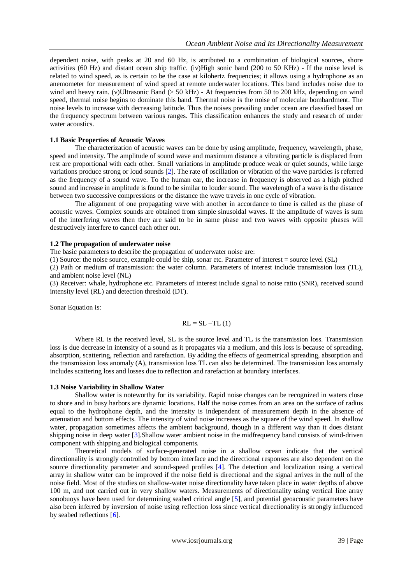dependent noise, with peaks at 20 and 60 Hz, is attributed to a combination of biological sources, shore activities (60 Hz) and distant ocean ship traffic. (iv)High sonic band (200 to 50 KHz) - If the noise level is related to wind speed, as is certain to be the case at kilohertz frequencies; it allows using a hydrophone as an anemometer for measurement of wind speed at remote underwater locations. This band includes noise due to wind and heavy rain. (v)Ultrasonic Band (> 50 kHz) - At frequencies from 50 to 200 kHz, depending on wind speed, thermal noise begins to dominate this band. Thermal noise is the noise of molecular bombardment. The noise levels to increase with decreasing latitude. Thus the noises prevailing under ocean are classified based on the frequency spectrum between various ranges. This classification enhances the study and research of under water acoustics.

## **1.1 Basic Properties of Acoustic Waves**

The characterization of acoustic waves can be done by using amplitude, frequency, wavelength, phase, speed and intensity. The amplitude of sound wave and maximum distance a vibrating particle is displaced from rest are proportional with each other. Small variations in amplitude produce weak or quiet sounds, while large variations produce strong or loud sounds [2]. The rate of oscillation or vibration of the wave particles is referred as the frequency of a sound wave. To the human ear, the increase in frequency is observed as a high pitched sound and increase in amplitude is found to be similar to louder sound. The wavelength of a wave is the distance between two successive compressions or the distance the wave travels in one cycle of vibration.

The alignment of one propagating wave with another in accordance to time is called as the phase of acoustic waves. Complex sounds are obtained from simple sinusoidal waves. If the amplitude of waves is sum of the interfering waves then they are said to be in same phase and two waves with opposite phases will destructively interfere to cancel each other out.

# **1.2 The propagation of underwater noise**

The basic parameters to describe the propagation of underwater noise are:

(1) Source: the noise source, example could be ship, sonar etc. Parameter of interest = source level (SL)

(2) Path or medium of transmission: the water column. Parameters of interest include transmission loss (TL), and ambient noise level (NL)

(3) Receiver: whale, hydrophone etc. Parameters of interest include signal to noise ratio (SNR), received sound intensity level (RL) and detection threshold (DT).

Sonar Equation is:

$$
RL = SL - TL (1)
$$

Where RL is the received level, SL is the source level and TL is the transmission loss. Transmission loss is due decrease in intensity of a sound as it propagates via a medium, and this loss is because of spreading, absorption, scattering, reflection and rarefaction. By adding the effects of geometrical spreading, absorption and the transmission loss anomaly (A), transmission loss TL can also be determined. The transmission loss anomaly includes scattering loss and losses due to reflection and rarefaction at boundary interfaces.

## **1.3 Noise Variability in Shallow Water**

Shallow water is noteworthy for its variability. Rapid noise changes can be recognized in waters close to shore and in busy harbors are dynamic locations. Half the noise comes from an area on the surface of radius equal to the hydrophone depth, and the intensity is independent of measurement depth in the absence of attenuation and bottom effects. The intensity of wind noise increases as the square of the wind speed. In shallow water, propagation sometimes affects the ambient background, though in a different way than it does distant shipping noise in deep water [3].Shallow water ambient noise in the midfrequency band consists of wind-driven component with shipping and biological components.

Theoretical models of surface-generated noise in a shallow ocean indicate that the vertical directionality is strongly controlled by bottom interface and the directional responses are also dependent on the source directionality parameter and sound-speed profiles [4]. The detection and localization using a vertical array in shallow water can be improved if the noise field is directional and the signal arrives in the null of the noise field. Most of the studies on shallow-water noise directionality have taken place in water depths of above 100 m, and not carried out in very shallow waters. Measurements of directionality using vertical line array sonobuoys have been used for determining seabed critical angle [5], and potential geoacoustic parameters have also been inferred by inversion of noise using reflection loss since vertical directionality is strongly influenced by seabed reflections [6].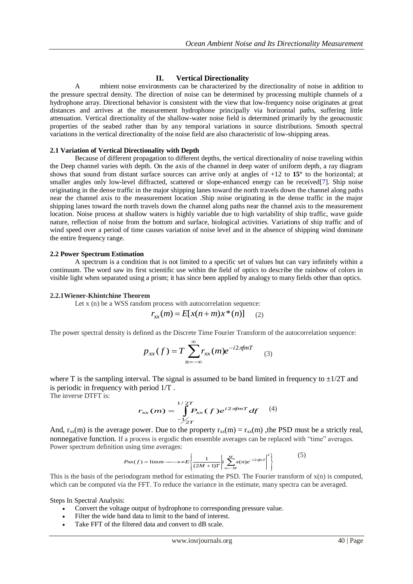# **II. Vertical Directionality**

 A mbient noise environments can be characterized by the directionality of noise in addition to the pressure spectral density. The direction of noise can be determined by processing multiple channels of a hydrophone array. Directional behavior is consistent with the view that low-frequency noise originates at great distances and arrives at the measurement hydrophone principally via horizontal paths, suffering little attenuation. Vertical directionality of the shallow-water noise field is determined primarily by the geoacoustic properties of the seabed rather than by any temporal variations in source distributions. Smooth spectral variations in the vertical directionality of the noise field are also characteristic of low-shipping areas.

#### **2.1 Variation of Vertical Directionality with Depth**

 Because of different propagation to different depths, the vertical directionality of noise traveling within the Deep channel varies with depth. On the axis of the channel in deep water of uniform depth, a ray diagram shows that sound from distant surface sources can arrive only at angles of +12 to **15°** to the horizontal; at smaller angles only low-level diffracted, scattered or slope-enhanced energy can be received[7]. Ship noise originating in the dense traffic in the major shipping lanes toward the north travels down the channel along paths near the channel axis to the measurement location .Ship noise originating in the dense traffic in the major shipping lanes toward the north travels down the channel along paths near the channel axis to the measurement location. Noise process at shallow waters is highly variable due to high variability of ship traffic, wave guide nature, reflection of noise from the bottom and surface, biological activities. Variations of ship traffic and of wind speed over a period of time causes variation of noise level and in the absence of shipping wind dominate the entire frequency range.

#### **2.2 Power Spectrum Estimation**

A spectrum is a condition that is not limited to a specific set of values but can vary infinitely within a [continuum.](http://en.wikipedia.org/wiki/Continuum_(theory)) The word saw its first scientific use within the field of [optics](http://en.wikipedia.org/wiki/Optics) to describe the [rainbow](http://en.wikipedia.org/wiki/Rainbow) of colors in visible light when separated using [a prism;](http://en.wikipedia.org/wiki/Triangular_prism_(optics)) it has since been applied by analogy to many fields other than optics.

#### **2.2.1Wiener-Khintchine Theorem**

Let x (n) be a WSS random process with autocorrelation sequence:

$$
r_{xx}(m) = E[x(n+m)x^{*}(n)] \quad (2)
$$

The power spectral density is defined as the Discrete Time Fourier Transform of the autocorrelation sequence:

$$
p_{xx}(f) = T \sum_{n=-\infty}^{\infty} r_{xx}(m)e^{-i2\pi f nT}
$$
 (3)

where T is the sampling interval. The signal is assumed to be band limited in frequency to  $\pm 1/2T$  and is periodic in frequency with period 1/T .

The inverse DTFT is:

$$
r_{xx}(m) = \int_{-\sqrt{2T}}^{1/2T} P_{xx}(f) e^{i2\pi f mT} df \quad (4)
$$

And,  $r_{xx}(m)$  is the average power. Due to the property  $r_{xx}(m) = r_{xx}(m)$ , the PSD must be a strictly real, nonnegative function. If a process is ergodic then ensemble averages can be replaced with "time" averages. Power spectrum definition using time averages:

$$
Pxx(f) = \lim_{m \to \infty} \sum \left\{ \frac{1}{(2M+1)T} \left| t \sum_{n=-M}^{M} x(n) e^{-i2\pi n t} \right|^2 \right\}
$$
(5)

This is the basis of the periodogram method for estimating the PSD. The Fourier transform of  $x(n)$  is computed, which can be computed via the FFT. To reduce the variance in the estimate, many spectra can be averaged.

Steps In Spectral Analysis:

- Convert the voltage output of hydrophone to corresponding pressure value.
- Filter the wide band data to limit to the band of interest.
- Take FFT of the filtered data and convert to dB scale.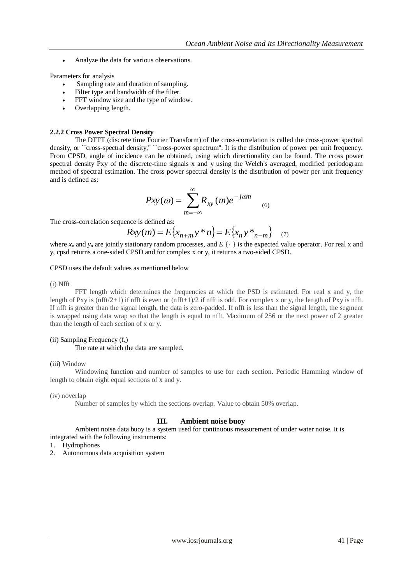Analyze the data for various observations.

Parameters for analysis

- Sampling rate and duration of sampling.
- Filter type and bandwidth of the filter.
- FFT window size and the type of window.
- Overlapping length.

# **2.2.2 Cross Power Spectral Density**

The DTFT (discrete time Fourier Transform) of the cross-correlation is called the cross-power spectral density, or ``cross-spectral density,'' ``cross-power spectrum''. It is the distribution of power per unit frequency. From CPSD, angle of incidence can be obtained, using which directionality can be found. The cross power spectral density Pxy of the discrete-time signals x and y using the Welch's averaged, modified periodogram method of spectral estimation. The cross power spectral density is the distribution of power per unit frequency and is defined as:

$$
Pxy(\omega) = \sum_{m=-\infty}^{\infty} R_{xy}(m)e^{-j\omega m}
$$
 (6)

The cross-correlation sequence is defined as:

$$
Rxy(m) = E\{x_{n+m}y * n\} = E\{x_ny *_{n-m}\}\quad (7)
$$

where  $x_n$  and  $y_n$  are jointly stationary random processes, and  $E\{\cdot\}$  is the expected value operator. For real x and y, cpsd returns a one-sided CPSD and for complex x or y, it returns a two-sided CPSD.

#### CPSD uses the default values as mentioned below

#### (i) Nfft

FFT length which determines the frequencies at which the PSD is estimated. For real x and y, the length of Pxy is (nfft/2+1) if nfft is even or (nfft+1)/2 if nfft is odd. For complex x or y, the length of Pxy is nfft. If nfft is greater than the signal length, the data is zero-padded. If nfft is less than the signal length, the segment is wrapped using data wrap so that the length is equal to nfft. Maximum of 256 or the next power of 2 greater than the length of each section of x or y.

# (ii) Sampling Frequency  $(f_s)$

The rate at which the data are sampled.

## (iii) Window

Windowing function and number of samples to use for each section. Periodic Hamming window of length to obtain eight equal sections of x and y.

(iv) noverlap

Number of samples by which the sections overlap. Value to obtain 50% overlap.

# **III. Ambient noise buoy**

Ambient noise data buoy is a system used for continuous measurement of under water noise. It is integrated with the following instruments:

1. Hydrophones

2. Autonomous data acquisition system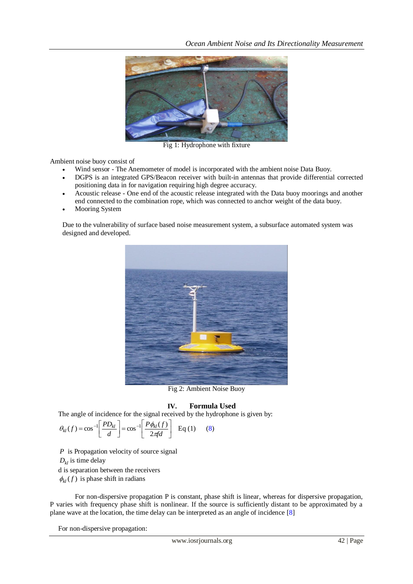

Fig 1: Hydrophone with fixture

Ambient noise buoy consist of

- Wind sensor The Anemometer of model is incorporated with the ambient noise Data Buoy.
- DGPS is an integrated GPS/Beacon receiver with built-in antennas that provide differential corrected positioning data in for navigation requiring high degree accuracy.
- Acoustic release One end of the acoustic release integrated with the Data buoy moorings and another end connected to the combination rope, which was connected to anchor weight of the data buoy.
- Mooring System

Due to the vulnerability of surface based noise measurement system, a subsurface automated system was designed and developed.



Fig 2: Ambient Noise Buoy

# **IV. Formula Used**

The angle of incidence for the signal received by the hydrophone is given by:

$$
\theta_{kl}(f) = \cos^{-1}\left[\frac{PD_{kl}}{d}\right] = \cos^{-1}\left[\frac{P\phi_{kl}(f)}{2\pi fd}\right] \quad \text{Eq (1)} \tag{8}
$$

*P* is Propagation velocity of source signal  $D_{kl}$  is time delay d is separation between the receivers  $\phi_{kl}(f)$  is phase shift in radians

For non-dispersive propagation P is constant, phase shift is linear, whereas for dispersive propagation, P varies with frequency phase shift is nonlinear. If the source is sufficiently distant to be approximated by a plane wave at the location, the time delay can be interpreted as an angle of incidence [8]

For non-dispersive propagation: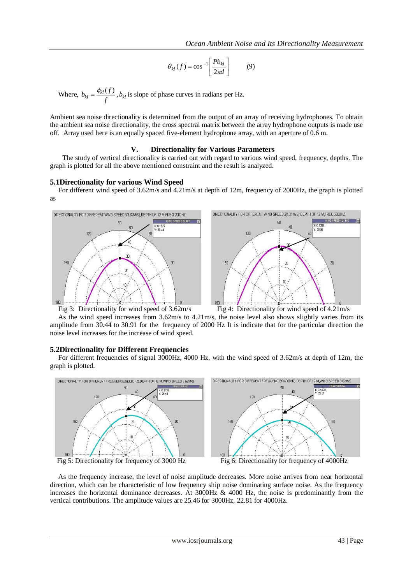$$
\theta_{kl}(f) = \cos^{-1}\left[\frac{Pb_{kl}}{2\pi d}\right] \tag{9}
$$

Where,  $b_{kl} = \frac{\psi_{kl} \sqrt{}}{f}$  $b_{kl} = \frac{\phi_{kl}(f)}{f}$  $=\frac{\phi_{kl}(f)}{f}$ ,  $b_{kl}$  is slope of phase curves in radians per Hz.

Ambient sea noise directionality is determined from the output of an array of receiving hydrophones. To obtain the ambient sea noise directionality, the cross spectral matrix between the array hydrophone outputs is made use off. Array used here is an equally spaced five-element hydrophone array, with an aperture of 0.6 m.

## **V. Directionality for Various Parameters**

The study of vertical directionality is carried out with regard to various wind speed, frequency, depths. The graph is plotted for all the above mentioned constraint and the result is analyzed.

## **5.1Directionality for various Wind Speed**

For different wind speed of 3.62m/s and 4.21m/s at depth of 12m, frequency of 2000Hz, the graph is plotted as







As the wind speed increases from 3.62m/s to 4.21m/s, the noise level also shows slightly varies from its amplitude from 30.44 to 30.91 for the frequency of 2000 Hz It is indicate that for the particular direction the noise level increases for the increase of wind speed.

#### **5.2Directionality for Different Frequencies**

For different frequencies of signal 3000Hz, 4000 Hz, with the wind speed of 3.62m/s at depth of 12m, the graph is plotted.



As the frequency increase, the level of noise amplitude decreases. More noise arrives from near horizontal direction, which can be characteristic of low frequency ship noise dominating surface noise. As the frequency increases the horizontal dominance decreases. At  $3000Hz \& 4000 Hz$ , the noise is predominantly from the vertical contributions. The amplitude values are 25.46 for 3000Hz, 22.81 for 4000Hz.